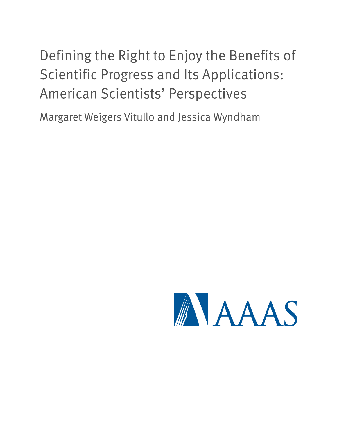# Defining the Right to Enjoy the Benefits of **Scientific Progress and Its Applications: American Scientists' Perspectives**

Margaret Weigers Vitullo and Jessica Wyndham

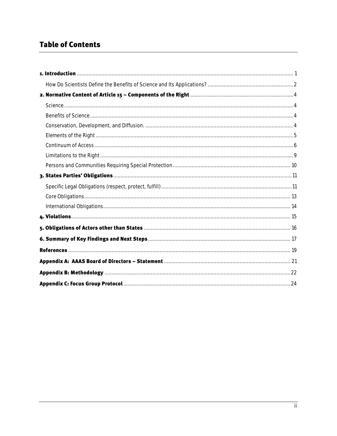# **Table of Contents**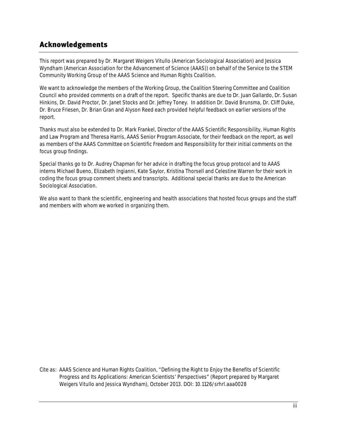# Acknowledgements

This report was prepared by Dr. Margaret Weigers Vitullo (American Sociological Association) and Jessica Wyndham (American Association for the Advancement of Science (AAAS)) on behalf of the Service to the STEM Community Working Group of the AAAS Science and Human Rights Coalition.

We want to acknowledge the members of the Working Group, the Coalition Steering Committee and Coalition Council who provided comments on a draft of the report. Specific thanks are due to Dr. Juan Gallardo, Dr. Susan Hinkins, Dr. David Proctor, Dr. Janet Stocks and Dr. Jeffrey Toney. In addition Dr. David Brunsma, Dr. Cliff Duke, Dr. Bruce Friesen, Dr. Brian Gran and Alyson Reed each provided helpful feedback on earlier versions of the report.

Thanks must also be extended to Dr. Mark Frankel, Director of the AAAS Scientific Responsibility, Human Rights and Law Program and Theresa Harris, AAAS Senior Program Associate, for their feedback on the report, as well as members of the AAAS Committee on Scientific Freedom and Responsibility for their initial comments on the focus group findings.

Special thanks go to Dr. Audrey Chapman for her advice in drafting the focus group protocol and to AAAS interns Michael Bueno, Elizabeth Ingianni, Kate Saylor, Kristina Thorsell and Celestine Warren for their work in coding the focus group comment sheets and transcripts. Additional special thanks are due to the American Sociological Association.

We also want to thank the scientific, engineering and health associations that hosted focus groups and the staff and members with whom we worked in organizing them.

Cite as: AAAS Science and Human Rights Coalition, "Defining the Right to Enjoy the Benefits of Scientific Progress and Its Applications: American Scientists' Perspectives" (Report prepared by Margaret Weigers Vitullo and Jessica Wyndham), October 2013. DOI: 10.1126/srhrl.aaa0028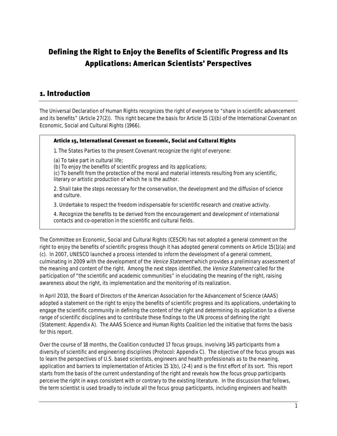# Defining the Right to Enjoy the Benefits of Scientific Progress and Its Applications: American Scientists' Perspectives

# <span id="page-3-0"></span>1. Introduction

The Universal Declaration of Human Rights recognizes the right of everyone to "share in scientific advancement and its benefits" (Article 27(2)). This right became the basis for Article 15 (1)(b) of the International Covenant on Economic, Social and Cultural Rights (1966).

### Article 15, International Covenant on Economic, Social and Cultural Rights

1. The States Parties to the present Covenant recognize the right of everyone:

(a) To take part in cultural life;

(b) To enjoy the benefits of scientific progress and its applications;

(c) To benefit from the protection of the moral and material interests resulting from any scientific, literary or artistic production of which he is the author.

2. Shall take the steps necessary for the conservation, the development and the diffusion of science and culture.

3. Undertake to respect the freedom indispensable for scientific research and creative activity.

4. Recognize the benefits to be derived from the encouragement and development of international contacts and co-operation in the scientific and cultural fields.

The Committee on Economic, Social and Cultural Rights (CESCR) has not adopted a general comment on the right to enjoy the benefits of scientific progress though it has adopted general comments on Article 15(1)(a) and (c). In 2007, UNESCO launched a process intended to inform the development of a general comment, culminating in 2009 with the development of the *Venice Statement* which provides a preliminary assessment of the meaning and content of the right. Among the next steps identified, the Venice Statement called for the participation of "the scientific and academic communities" in elucidating the meaning of the right, raising awareness about the right, its implementation and the monitoring of its realization.

In April 2010, the Board of Directors of the American Association for the Advancement of Science (AAAS) adopted a statement on the right to enjoy the benefits of scientific progress and its applications, undertaking to engage the scientific community in defining the content of the right and determining its application to a diverse range of scientific disciplines and to contribute these findings to the UN process of defining the right (Statement: Appendix A). The AAAS Science and Human Rights Coalition led the initiative that forms the basis for this report.

Over the course of 18 months, the Coalition conducted 17 focus groups, involving 145 participants from a diversity of scientific and engineering disciplines (Protocol: Appendix C). The objective of the focus groups was to learn the perspectives of U.S. based scientists, engineers and health professionals as to the meaning, application and barriers to implementation of Articles 15 1(b), (2-4) and is the first effort of its sort. This report starts from the basis of the current understanding of the right and reveals how the focus group participants perceive the right in ways consistent with or contrary to the existing literature. In the discussion that follows, the term scientist is used broadly to include all the focus group participants, including engineers and health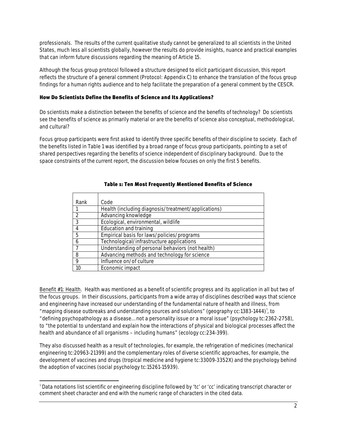professionals. The results of the current qualitative study cannot be generalized to all scientists in the United States, much less all scientists globally, however the results do provide insights, nuance and practical examples that can inform future discussions regarding the meaning of Article 15.

Although the focus group protocol followed a structure designed to elicit participant discussion, this report reflects the structure of a general comment (Protocol: Appendix C) to enhance the translation of the focus group findings for a human rights audience and to help facilitate the preparation of a general comment by the CESCR.

### <span id="page-4-0"></span>How Do Scientists Define the Benefits of Science and Its Applications?

Do scientists make a distinction between the benefits of science and the benefits of technology? Do scientists see the benefits of science as primarily material or are the benefits of science also conceptual, methodological, and cultural?

Focus group participants were first asked to identify three specific benefits of their discipline to society. Each of the benefits listed in Table 1 was identified by a broad range of focus group participants, pointing to a set of shared perspectives regarding the benefits of science independent of disciplinary background. Due to the space constraints of the current report, the discussion below focuses on only the first 5 benefits.

| Rank | Code                                                |
|------|-----------------------------------------------------|
|      | Health (including diagnosis/treatment/applications) |
|      | Advancing knowledge                                 |
| २    | Ecological, environmental, wildlife                 |
| 4    | Education and training                              |
| 5    | Empirical basis for laws/policies/programs          |
| 6    | Technological/infrastructure applications           |
|      | Understanding of personal behaviors (not health)    |
| 8    | Advancing methods and technology for science        |
| 9    | Influence on/of culture                             |
| 10   | Economic impact                                     |

### Table 1: Ten Most Frequently Mentioned Benefits of Science

Benefit #1: Health. Health was mentioned as a benefit of scientific progress and its application in all but two of the focus groups. In their discussions, participants from a wide array of disciplines described ways that science and engineering have increased our understanding of the fundamental nature of health and illness, from "mapping disease outbreaks and understanding sources and solutions" (geography cc:[1](#page-4-1)383-1444)<sup>1</sup>, to "defining psychopathology as a disease… not a personality issue or a moral issue" (psychology tc:2362-2758), to "the potential to understand and explain how the interactions of physical and biological processes affect the health and abundance of all organisms – including humans" (ecology cc:234-399).

They also discussed health as a result of technologies, for example, the refrigeration of medicines (mechanical engineering tc:20963-21399) and the complementary roles of diverse scientific approaches, for example, the development of vaccines and drugs (tropical medicine and hygiene tc:33009-3352X) and the psychology behind the adoption of vaccines (social psychology tc:15261-15939).

<span id="page-4-1"></span> $\overline{\phantom{a}}$ <sup>1</sup> Data notations list scientific or engineering discipline followed by 'tc' or 'cc' indicating transcript character or comment sheet character and end with the numeric range of characters in the cited data.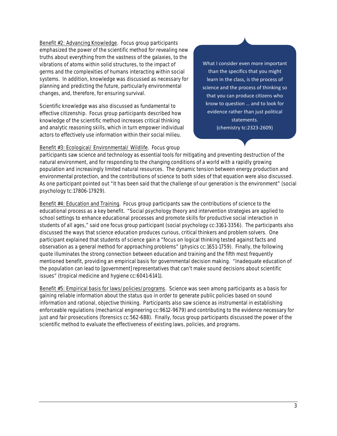Benefit #2: Advancing Knowledge. Focus group participants emphasized the power of the scientific method for revealing new truths about everything from the vastness of the galaxies, to the vibrations of atoms within solid structures, to the impact of germs and the complexities of humans interacting within social systems. In addition, knowledge was discussed as necessary for planning and predicting the future, particularly environmental changes, and, therefore, for ensuring survival.

Scientific knowledge was also discussed as fundamental to effective citizenship. Focus group participants described how knowledge of the scientific method increases critical thinking and analytic reasoning skills, which in turn empower individual actors to effectively use information within their social milieu.

Benefit #3: Ecological/ Environmental/ Wildlife. Focus group

What I consider even more important than the specifics that you might learn in the class, is the process of science and the process of thinking so that you can produce citizens who know to question … and to look for evidence rather than just political statements. (chemistry tc:2323-2609)

participants saw science and technology as essential tools for mitigating and preventing destruction of the natural environment, and for responding to the changing conditions of a world with a rapidly growing population and increasingly limited natural resources. The dynamic tension between energy production and environmental protection, and the contributions of science to both sides of that equation were also discussed. As one participant pointed out "It has been said that the challenge of our generation is the environment" (social psychology tc:17806-17929).

Benefit #4: Education and Training. Focus group participants saw the contributions of science to the educational process as a key benefit. "Social psychology theory and intervention strategies are applied to school settings to enhance educational processes and promote skills for productive social interaction in students of all ages," said one focus group participant (social psychology cc:3161-3356). The participants also discussed the ways that science education produces curious, critical thinkers and problem solvers. One participant explained that students of science gain a "focus on logical thinking tested against facts and observation as a general method for approaching problems" (physics cc:1651-1759). Finally, the following quote illuminates the strong connection between education and training and the fifth most frequently mentioned benefit, providing an empirical basis for governmental decision making. "Inadequate education of the population can lead to [government] representatives that can't make sound decisions about scientific issues" (tropical medicine and hygiene cc:6041-6141).

Benefit #5: Empirical basis for laws/policies/programs. Science was seen among participants as a basis for gaining reliable information about the status quo in order to generate public policies based on sound information and rational, objective thinking. Participants also saw science as instrumental in establishing enforceable regulations (mechanical engineering cc:9612-9679) and contributing to the evidence necessary for just and fair prosecutions (forensics cc:562-688). Finally, focus group participants discussed the power of the scientific method to evaluate the effectiveness of existing laws, policies, and programs.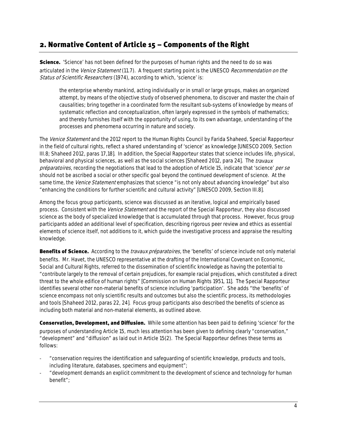# <span id="page-6-0"></span>2. Normative Content of Article 15 – Components of the Right

<span id="page-6-1"></span>**Science.** 'Science' has not been defined for the purposes of human rights and the need to do so was articulated in the Venice Statement (11.7). A frequent starting point is the UNESCO Recommendation on the Status of Scientific Researchers (1974), according to which, 'science' is:

the enterprise whereby mankind, acting individually or in small or large groups, makes an organized attempt, by means of the objective study of observed phenomena, to discover and master the chain of causalities; bring together in a coordinated form the resultant sub-systems of knowledge by means of systematic reflection and conceptualization, often largely expressed in the symbols of mathematics; and thereby furnishes itself with the opportunity of using, to its own advantage, understanding of the processes and phenomena occurring in nature and society.

The Venice Statement and the 2012 report to the Human Rights Council by Farida Shaheed, Special Rapporteur in the field of cultural rights, reflect a shared understanding of 'science' as knowledge [UNESCO 2009, Section III.8; Shaheed 2012, paras 17,18]. In addition, the Special Rapporteur states that science includes life, physical, behavioral and physical sciences, as well as the social sciences [Shaheed 2012, para 24]. The travaux préparatoires, recording the negotiations that lead to the adoption of Article 15, indicate that 'science' per se should not be ascribed a social or other specific goal beyond the continued development of science. At the same time, the Venice Statement emphasizes that science "is not only about advancing knowledge" but also "enhancing the conditions for further scientific and cultural activity" [UNESCO 2009, Section III.8].

Among the focus group participants, science was discussed as an iterative, logical and empirically based process. Consistent with the *Venice Statement* and the report of the Special Rapporteur, they also discussed science as the body of specialized knowledge that is accumulated through that process. However, focus group participants added an additional level of specification, describing rigorous peer review and ethics as essential elements of science itself, not additions to it, which guide the investigative process and appraise the resulting knowledge.

<span id="page-6-2"></span>Benefits of Science. According to the *travaux préparatoires*, the 'benefits' of science include not only material benefits. Mr. Havet, the UNESCO representative at the drafting of the International Covenant on Economic, Social and Cultural Rights, referred to the dissemination of scientific knowledge as having the potential to "contribute largely to the removal of certain prejudices, for example racial prejudices, which constituted a direct threat to the whole edifice of human rights" [Commission on Human Rights 1951, 11]. The Special Rapporteur identifies several other non-material benefits of science including 'participation'. She adds "the 'benefits' of science encompass not only scientific results and outcomes but also the scientific process, its methodologies and tools [Shaheed 2012, paras 22, 24]. Focus group participants also described the benefits of science as including both material and non-material elements, as outlined above.

<span id="page-6-3"></span>Conservation, Development, and Diffusion. While some attention has been paid to defining 'science' for the purposes of understanding Article 15, much less attention has been given to defining clearly "conservation," "development" and "diffusion" as laid out in Article 15(2). The Special Rapporteur defines these terms as follows:

- "conservation requires the identification and safeguarding of scientific knowledge, products and tools, including literature, databases, specimens and equipment";
- "development demands an explicit commitment to the development of science and technology for human benefit";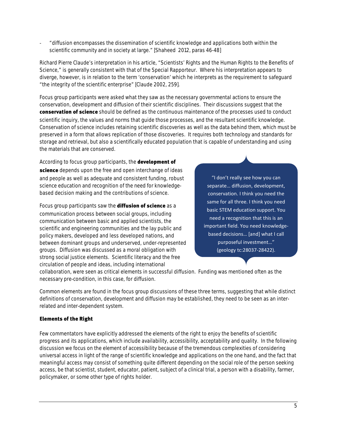- "diffusion encompasses the dissemination of scientific knowledge and applications both within the scientific community and in society at large." [Shaheed 2012, paras 46-48]

Richard Pierre Claude's interpretation in his article, "Scientists' Rights and the Human Rights to the Benefits of Science," is generally consistent with that of the Special Rapporteur. Where his interpretation appears to diverge, however, is in relation to the term 'conservation' which he interprets as the requirement to safeguard "the integrity of the scientific enterprise" [Claude 2002, 259].

Focus group participants were asked what they saw as the necessary governmental actions to ensure the conservation, development and diffusion of their scientific disciplines. Their discussions suggest that the conservation of science should be defined as the continuous maintenance of the processes used to conduct scientific inquiry, the values and norms that guide those processes, and the resultant scientific knowledge. Conservation of science includes retaining scientific discoveries as well as the data behind them, which must be preserved in a form that allows replication of those discoveries. It requires both technology and standards for storage and retrieval, but also a scientifically educated population that is capable of understanding and using the materials that are conserved.

According to focus group participants, the **development of** science depends upon the free and open interchange of ideas and people as well as adequate and consistent funding, robust science education and recognition of the need for knowledgebased decision making and the contributions of science.

Focus group participants saw the **diffusion of science** as a communication process between social groups, including communication between basic and applied scientists, the scientific and engineering communities and the lay public and policy makers, developed and less developed nations, and between dominant groups and underserved, under-represented groups. Diffusion was discussed as a moral obligation with strong social justice elements. Scientific literacy and the free circulation of people and ideas, including international

"I don't really see how you can separate… diffusion, development, conservation. I think you need the same for all three. I think you need basic STEM education support. You need a recognition that this is an important field. You need knowledgebased decisions… [and] what I call purposeful investment…" (geology tc:28037-28422).

collaboration, were seen as critical elements in successful diffusion. Funding was mentioned often as the necessary pre-condition, in this case, for diffusion.

Common elements are found in the focus group discussions of these three terms, suggesting that while distinct definitions of conservation, development and diffusion may be established, they need to be seen as an interrelated and inter-dependent system.

### <span id="page-7-0"></span>Elements of the Right

Few commentators have explicitly addressed the elements of the right to enjoy the benefits of scientific progress and its applications, which include availability, accessibility, acceptability and quality. In the following discussion we focus on the element of accessibility because of the tremendous complexities of considering universal access in light of the range of scientific knowledge and applications on the one hand, and the fact that meaningful access may consist of something quite different depending on the social role of the person seeking access, be that scientist, student, educator, patient, subject of a clinical trial, a person with a disability, farmer, policymaker, or some other type of rights holder.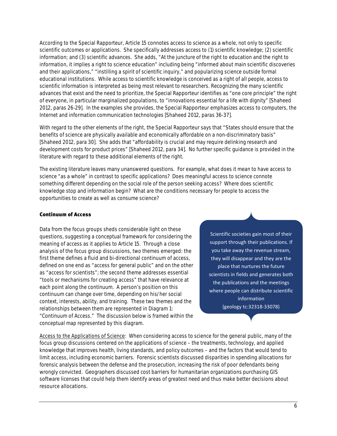According to the Special Rapporteur, Article 15 connotes access to science as a whole, not only to specific scientific outcomes or applications. She specifically addresses access to (1) scientific knowledge; (2) scientific information; and (3) scientific advances. She adds, "At the juncture of the right to education and the right to information, it implies a right to science education" including being "informed about main scientific discoveries and their applications," "instilling a spirit of scientific inquiry," and popularizing science outside formal educational institutions. While access to scientific knowledge is conceived as a right of all people, access to scientific information is interpreted as being most relevant to researchers. Recognizing the many scientific advances that exist and the need to prioritize, the Special Rapporteur identifies as "one core principle" the right of everyone, in particular marginalized populations, to "innovations essential for a life with dignity" [Shaheed 2012, paras 26-29]. In the examples she provides, the Special Rapporteur emphasizes access to computers, the Internet and information communication technologies [Shaheed 2012, paras 36-37].

With regard to the other elements of the right, the Special Rapporteur says that "States should ensure that the benefits of science are physically available and economically affordable on a non-discriminatory basis" [Shaheed 2012, para 30]. She adds that "affordability is crucial and may require delinking research and development costs for product prices" [Shaheed 2012, para 34]. No further specific guidance is provided in the literature with regard to these additional elements of the right.

The existing literature leaves many unanswered questions. For example, what does it mean to have access to science "as a whole" in contrast to specific applications? Does meaningful access to science connote something different depending on the social role of the person seeking access? Where does scientific knowledge stop and information begin? What are the conditions necessary for people to access the opportunities to create as well as consume science?

### <span id="page-8-0"></span>Continuum of Access

Data from the focus groups sheds considerable light on these questions, suggesting a conceptual framework for considering the meaning of access as it applies to Article 15. Through a close analysis of the focus group discussions, two themes emerged: the first theme defines a fluid and bi-directional continuum of access, defined on one end as "access for general public" and on the other as "access for scientists"; the second theme addresses essential "tools or mechanisms for creating access" that have relevance at each point along the continuum. A person's position on this continuum can change over time, depending on his/her social context, interests, ability, and training. These two themes and the relationships between them are represented in Diagram 1: "Continuum of Access." The discussion below is framed within the conceptual map represented by this diagram.

Scientific societies gain most of their support through their publications. If you take away the revenue stream, they will disappear and they are the place that nurtures the future scientists in fields and generates both the publications and the meetings where people can distribute scientific information (geology tc:32318-33078)

Access to the Applications of Science: When considering access to science for the general public, many of the focus group discussions centered on the applications of science – the treatments, technology, and applied knowledge that improves health, living standards, and policy outcomes – and the factors that would tend to limit access, including economic barriers. Forensic scientists discussed disparities in spending allocations for forensic analysis between the defense and the prosecution, increasing the risk of poor defendants being wrongly convicted. Geographers discussed cost barriers for humanitarian organizations purchasing GIS software licenses that could help them identify areas of greatest need and thus make better decisions about resource allocations.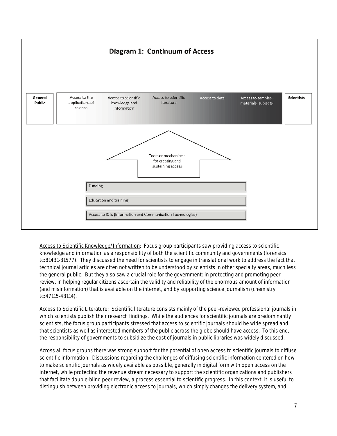

Access to Scientific Knowledge/Information: Focus group participants saw providing access to scientific knowledge and information as a responsibility of both the scientific community and governments (forensics tc:81431-81577). They discussed the need for scientists to engage in translational work to address the fact that technical journal articles are often not written to be understood by scientists in other specialty areas, much less the general public. But they also saw a crucial role for the government: in protecting and promoting peer review, in helping regular citizens ascertain the validity and reliability of the enormous amount of information (and misinformation) that is available on the internet, and by supporting science journalism (chemistry tc:47115-48114).

Access to Scientific Literature: Scientific literature consists mainly of the peer-reviewed professional journals in which scientists publish their research findings. While the audiences for scientific journals are predominantly scientists, the focus group participants stressed that access to scientific journals should be wide spread and that scientists as well as interested members of the public across the globe should have access. To this end, the responsibility of governments to subsidize the cost of journals in public libraries was widely discussed.

Across all focus groups there was strong support for the potential of open access to scientific journals to diffuse scientific information. Discussions regarding the challenges of diffusing scientific information centered on how to make scientific journals as widely available as possible, generally in digital form with open access on the internet, while protecting the revenue stream necessary to support the scientific organizations and publishers that facilitate double-blind peer review, a process essential to scientific progress. In this context, it is useful to distinguish between providing electronic access to journals, which simply changes the delivery system, and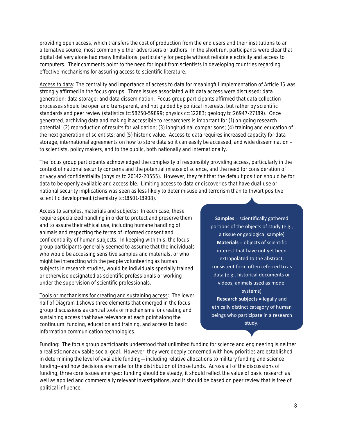providing open access, which transfers the cost of production from the end users and their institutions to an alternative source, most commonly either advertisers or authors. In the short run, participants were clear that digital delivery alone had many limitations, particularly for people without reliable electricity and access to computers. Their comments point to the need for input from scientists in developing countries regarding effective mechanisms for assuring access to scientific literature.

Access to data: The centrality and importance of access to data for meaningful implementation of Article 15 was strongly affirmed in the focus groups. Three issues associated with data access were discussed: data generation; data storage; and data dissemination. Focus group participants affirmed that data collection processes should be open and transparent, and not guided by political interests, but rather by scientific standards and peer review (statistics tc:58250-59899; physics cc:12283; geology tc:26947-27189). Once generated, archiving data and making it accessible to researchers is important for (1) on-going research potential; (2) reproduction of results for validation; (3) longitudinal comparisons; (4) training and education of the next generation of scientists; and (5) historic value. Access to data requires increased capacity for data storage, international agreements on how to store data so it can easily be accessed, and wide dissemination – to scientists, policy makers, and to the public, both nationally and internationally.

The focus group participants acknowledged the complexity of responsibly providing access, particularly in the context of national security concerns and the potential misuse of science, and the need for consideration of privacy and confidentiality (physics tc:20142-20555). However, they felt that the default position should be for data to be openly available and accessible. Limiting access to data or discoveries that have dual-use or national security implications was seen as less likely to deter misuse and terrorism than to thwart positive scientific development (chemistry tc:18501-18908).

Access to samples, materials and subjects: In each case, these require specialized handling in order to protect and preserve them and to assure their ethical use, including humane handling of animals and respecting the terms of informed consent and confidentiality of human subjects. In keeping with this, the focus group participants generally seemed to assume that the individuals who would be accessing sensitive samples and materials, or who might be interacting with the people volunteering as human subjects in research studies, would be individuals specially trained or otherwise designated as scientific professionals or working under the supervision of scientific professionals.

Tools or mechanisms for creating and sustaining access: The lower half of Diagram 1 shows three elements that emerged in the focus group discussions as central tools or mechanisms for creating and sustaining access that have relevance at each point along the continuum: funding, education and training, and access to basic information communication technologies.

**Samples** = scientifically gathered portions of the objects of study (e.g., a tissue or geological sample) **Materials** = objects of scientific interest that have not yet been extrapolated to the abstract, consistent form often referred to as data (e.g., historical documents or videos, animals used as model systems) **Research subjects** = legally and ethically distinct category of human beings who participate in a research study.

Funding: The focus group participants understood that unlimited funding for science and engineering is neither a realistic nor advisable social goal. However, they were deeply concerned with how priorities are established in determining the level of available funding—including relative allocations to military funding and science funding--and how decisions are made for the distribution of those funds. Across all of the discussions of funding, three core issues emerged: funding should be steady, it should reflect the value of basic research as well as applied and commercially relevant investigations, and it should be based on peer review that is free of political influence.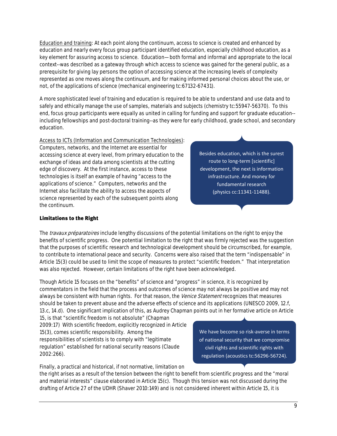Education and training: At each point along the continuum, access to science is created and enhanced by education and nearly every focus group participant identified education, especially childhood education, as a key element for assuring access to science. Education—both formal and informal and appropriate to the local context--was described as a gateway through which access to science was gained for the general public, as a prerequisite for giving lay persons the option of accessing science at the increasing levels of complexity represented as one moves along the continuum, and for making informed personal choices about the use, or not, of the applications of science (mechanical engineering tc:67132-67431).

A more sophisticated level of training and education is required to be able to understand and use data and to safely and ethically manage the use of samples, materials and subjects (chemistry tc:55947-56370). To this end, focus group participants were equally as united in calling for funding and support for graduate education- including fellowships and post-doctoral training--as they were for early childhood, grade school, and secondary education.

Access to ICTs (Information and Communication Technologies): Computers, networks, and the Internet are essential for accessing science at every level, from primary education to the exchange of ideas and data among scientists at the cutting edge of discovery. At the first instance, access to these technologies is itself an example of having "access to the applications of science." Computers, networks and the Internet also facilitate the ability to access the aspects of science represented by each of the subsequent points along the continuum.

Besides education, which is the surest route to long-term [scientific] development, the next is information infrastructure. And money for fundamental research (physics cc:11341-11488).

# <span id="page-11-0"></span>Limitations to the Right

The *travaux préparatoires* include lengthy discussions of the potential limitations on the right to enjoy the benefits of scientific progress. One potential limitation to the right that was firmly rejected was the suggestion that the purposes of scientific research and technological development should be circumscribed, for example, to contribute to international peace and security. Concerns were also raised that the term "indispensable" in Article 15(3) could be used to limit the scope of measures to protect "scientific freedom." That interpretation was also rejected. However, certain limitations of the right have been acknowledged.

Though Article 15 focuses on the "benefits" of science and "progress" in science, it is recognized by commentators in the field that the process and outcomes of science may not always be positive and may not always be consistent with human rights. For that reason, the Venice Statement recognizes that measures should be taken to prevent abuse and the adverse effects of science and its applications (UNESCO 2009, 12.f, 13.c, 14.d). One significant implication of this, as Audrey Chapman points out in her formative article on Article

15, is that "scientific freedom is not absolute" (Chapman 2009:17) With scientific freedom, explicitly recognized in Article 15(3), comes scientific responsibility. Among the responsibilities of scientists is to comply with "legitimate regulation" established for national security reasons (Claude 2002:266).

We have become so risk-averse in terms of national security that we compromise civil rights and scientific rights with regulation (acoustics tc:56296-56724).

Finally, a practical and historical, if not normative, limitation on

the right arises as a result of the tension between the right to benefit from scientific progress and the "moral and material interests" clause elaborated in Article 15(c). Though this tension was not discussed during the drafting of Article 27 of the UDHR (Shaver 2010:149) and is not considered inherent within Article 15, it is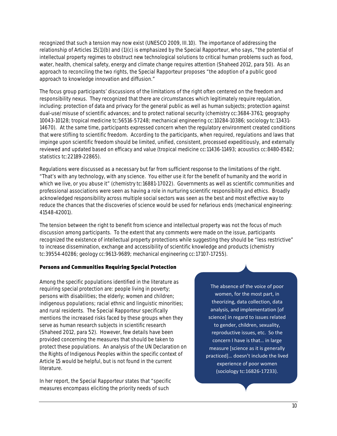recognized that such a tension may now exist (UNESCO 2009, III.10). The importance of addressing the relationship of Articles 15(1)(b) and (1)(c) is emphasized by the Special Rapporteur, who says, "the potential of intellectual property regimes to obstruct new technological solutions to critical human problems such as food, water, health, chemical safety, energy and climate change requires attention (Shaheed 2012, para 50). As an approach to reconciling the two rights, the Special Rapporteur proposes "the adoption of a public good approach to knowledge innovation and diffusion."

The focus group participants' discussions of the limitations of the right often centered on the freedom and responsibility nexus. They recognized that there are circumstances which legitimately require regulation, including: protection of data and privacy for the general public as well as human subjects; protection against dual-use/misuse of scientific advances; and to protect national security (chemistry cc:3684-3761; geography 10043-10128; tropical medicine tc:56516-57248; mechanical engineering cc:10284-10386; sociology tc:13431- 14670). At the same time, participants expressed concern when the regulatory environment created conditions that were stifling to scientific freedom. According to the participants, when required, regulations and laws that impinge upon scientific freedom should be limited, unified, consistent, processed expeditiously, and externally reviewed and updated based on efficacy and value (tropical medicine cc:11436-11493; acoustics cc:8480-8582; statistics tc:22189-22865).

Regulations were discussed as a necessary but far from sufficient response to the limitations of the right. "That's with any technology, with any science. You either use it for the benefit of humanity and the world in which we live, or you abuse it" (chemistry tc:16881-17022). Governments as well as scientific communities and professional associations were seen as having a role in nurturing scientific responsibility and ethics. Broadly acknowledged responsibility across multiple social sectors was seen as the best and most effective way to reduce the chances that the discoveries of science would be used for nefarious ends (mechanical engineering: 41548-42001).

The tension between the right to benefit from science and intellectual property was not the focus of much discussion among participants. To the extent that any comments were made on the issue, participants recognized the existence of intellectual property protections while suggesting they should be "less restrictive" to increase dissemination, exchange and accessibility of scientific knowledge and products (chemistry tc:39554-40286; geology cc:9613-9689; mechanical engineering cc:17107-17255).

### <span id="page-12-0"></span>Persons and Communities Requiring Special Protection

Among the specific populations identified in the literature as requiring special protection are: people living in poverty; persons with disabilities; the elderly; women and children; indigenous populations; racial ethnic and linguistic minorities; and rural residents. The Special Rapporteur specifically mentions the increased risks faced by these groups when they serve as human research subjects in scientific research (Shaheed 2012, para 52). However, few details have been provided concerning the measures that should be taken to protect these populations. An analysis of the UN Declaration on the Rights of Indigenous Peoples within the specific context of Article 15 would be helpful, but is not found in the current literature.

In her report, the Special Rapporteur states that "specific measures encompass eliciting the priority needs of such

The absence of the voice of poor women, for the most part, in theorizing, data collection, data analysis, and implementation [of science] in regard to issues related to gender, children, sexuality, reproductive issues, etc. So the concern I have is that… in large measure [science as it is generally practiced]… doesn't include the lived experience of poor women (sociology tc:16826-17233).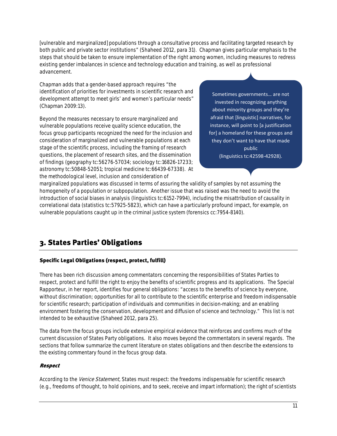[vulnerable and marginalized] populations through a consultative process and facilitating targeted research by both public and private sector institutions" (Shaheed 2012, para 31). Chapman gives particular emphasis to the steps that should be taken to ensure implementation of the right among women, including measures to redress existing gender imbalances in science and technology education and training, as well as professional advancement.

Chapman adds that a gender-based approach requires "the identification of priorities for investments in scientific research and development attempt to meet girls' and women's particular needs" (Chapman 2009:13).

Beyond the measures necessary to ensure marginalized and vulnerable populations receive quality science education, the focus group participants recognized the need for the inclusion and consideration of marginalized and vulnerable populations at each stage of the scientific process, including the framing of research questions, the placement of research sites, and the dissemination of findings (geography tc:56276-57034; sociology tc:16826-17233; astronomy tc:50848-52051; tropical medicine tc:66439-67338). At the methodological level, inclusion and consideration of

Sometimes governments… are not invested in recognizing anything about minority groups and they're afraid that [linguistic] narratives, for instance, will point to [a justification for] a homeland for these groups and they don't want to have that made public (linguistics tc:42598-42928).

marginalized populations was discussed in terms of assuring the validity of samples by not assuming the homogeneity of a population or subpopulation. Another issue that was raised was the need to avoid the introduction of social biases in analysis (linguistics tc:6152-7994), including the misattribution of causality in correlational data (statistics tc:57925-5823), which can have a particularly profound impact, for example, on vulnerable populations caught up in the criminal justice system (forensics cc:7954-8140).

# <span id="page-13-0"></span>3. States Parties' Obligations

# <span id="page-13-1"></span>Specific Legal Obligations (respect, protect, fulfill)

There has been rich discussion among commentators concerning the responsibilities of States Parties to respect, protect and fulfill the right to enjoy the benefits of scientific progress and its applications. The Special Rapporteur, in her report, identifies four general obligations: "access to the benefits of science by everyone, without discrimination; opportunities for all to contribute to the scientific enterprise and freedom indispensable for scientific research; participation of individuals and communities in decision-making; and an enabling environment fostering the conservation, development and diffusion of science and technology." This list is not intended to be exhaustive (Shaheed 2012, para 25).

The data from the focus groups include extensive empirical evidence that reinforces and confirms much of the current discussion of States Party obligations. It also moves beyond the commentators in several regards. The sections that follow summarize the current literature on states obligations and then describe the extensions to the existing commentary found in the focus group data.

### Respect

According to the Venice Statement, States must respect: the freedoms indispensable for scientific research (e.g., freedoms of thought, to hold opinions, and to seek, receive and impart information); the right of scientists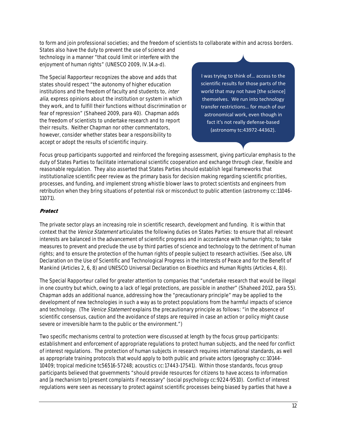to form and join professional societies; and the freedom of scientists to collaborate within and across borders.

States also have the duty to prevent the use of science and technology in a manner "that could limit or interfere with the enjoyment of human rights" (UNESCO 2009, IV.14.a-d).

The Special Rapporteur recognizes the above and adds that states should respect "the autonomy of higher education institutions and the freedom of faculty and students to, *inter* alia, express opinions about the institution or system in which they work, and to fulfill their functions without discrimination or fear of repression" (Shaheed 2009, para 40). Chapman adds the freedom of scientists to undertake research and to report their results. Neither Chapman nor other commentators, however, consider whether states bear a responsibility to accept or adopt the results of scientific inquiry.

I was trying to think of… access to the scientific results for those parts of the world that may not have [the science] themselves. We run into technology transfer restrictions… for much of our astronomical work, even though in fact it's not really defense-based (astronomy tc:43972-44362).

Focus group participants supported and reinforced the foregoing assessment, giving particular emphasis to the duty of States Parties to facilitate international scientific cooperation and exchange through clear, flexible and reasonable regulation. They also asserted that States Parties should establish legal frameworks that institutionalize scientific peer review as the primary basis for decision making regarding scientific priorities, processes, and funding, and implement strong whistle blower laws to protect scientists and engineers from retribution when they bring situations of potential risk or misconduct to public attention (astronomy cc:11046- 11071).

# **Protect**

The private sector plays an increasing role in scientific research, development and funding. It is within that context that the Venice Statement articulates the following duties on States Parties: to ensure that all relevant interests are balanced in the advancement of scientific progress and in accordance with human rights; to take measures to prevent and preclude the use by third parties of science and technology to the detriment of human rights; and to ensure the protection of the human rights of people subject to research activities. (See also, UN Declaration on the Use of Scientific and Technological Progress in the Interests of Peace and for the Benefit of Mankind (Articles 2, 6, 8) and UNESCO Universal Declaration on Bioethics and Human Rights (Articles 4, 8)).

The Special Rapporteur called for greater attention to companies that "undertake research that would be illegal in one country but which, owing to a lack of legal protections, are possible in another" (Shaheed 2012, para 55). Chapman adds an additional nuance, addressing how the "precautionary principle" may be applied to the development of new technologies in such a way as to protect populations from the harmful impacts of science and technology. (The *Venice Statement* explains the precautionary principle as follows: "in the absence of scientific consensus, caution and the avoidance of steps are required in case an action or policy might cause severe or irreversible harm to the public or the environment.")

Two specific mechanisms central to protection were discussed at length by the focus group participants: establishment and enforcement of appropriate regulations to protect human subjects, and the need for conflict of interest regulations. The protection of human subjects in research requires international standards, as well as appropriate training protocols that would apply to both public and private actors (geography cc:10144- 10409; tropical medicine tc56516-57248; acoustics cc:17443-17541). Within those standards, focus group participants believed that governments "should provide resources for citizens to have access to information and [a mechanism to] present complaints if necessary" (social psychology cc:9224-9510). Conflict of interest regulations were seen as necessary to protect against scientific processes being biased by parties that have a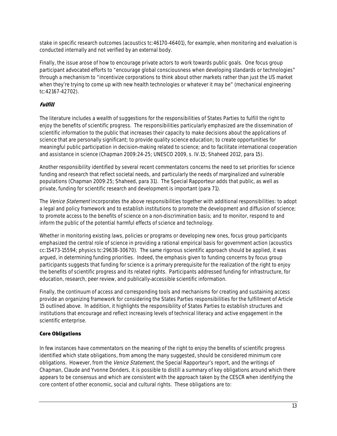stake in specific research outcomes (acoustics tc:46170-46401), for example, when monitoring and evaluation is conducted internally and not verified by an external body.

Finally, the issue arose of how to encourage private actors to work towards public goals. One focus group participant advocated efforts to "encourage global consciousness when developing standards or technologies" through a mechanism to "incentivize corporations to think about other markets rather than just the US market when they're trying to come up with new health technologies or whatever it may be" (mechanical engineering tc:42167-42702).

# Fulfill

The literature includes a wealth of suggestions for the responsibilities of States Parties to fulfill the right to enjoy the benefits of scientific progress. The responsibilities particularly emphasized are the dissemination of scientific information to the public that increases their capacity to make decisions about the applications of science that are personally significant; to provide quality science education; to create opportunities for meaningful public participation in decision-making related to science; and to facilitate international cooperation and assistance in science (Chapman 2009:24-25; UNESCO 2009, s. IV.15; Shaheed 2012, para 15).

Another responsibility identified by several recent commentators concerns the need to set priorities for science funding and research that reflect societal needs, and particularly the needs of marginalized and vulnerable populations (Chapman 2009:25; Shaheed, para 31). The Special Rapporteur adds that public, as well as private, funding for scientific research and development is important (para 71).

The Venice Statement incorporates the above responsibilities together with additional responsibilities: to adopt a legal and policy framework and to establish institutions to promote the development and diffusion of science; to promote access to the benefits of science on a non-discrimination basis; and to monitor, respond to and inform the public of the potential harmful effects of science and technology.

Whether in monitoring existing laws, policies or programs or developing new ones, focus group participants emphasized the central role of science in providing a rational empirical basis for government action (acoustics cc:15473-15594; physics tc:29638-30670). The same rigorous scientific approach should be applied, it was argued, in determining funding priorities. Indeed, the emphasis given to funding concerns by focus group participants suggests that funding for science is a primary prerequisite for the realization of the right to enjoy the benefits of scientific progress and its related rights. Participants addressed funding for infrastructure, for education, research, peer review, and publically-accessible scientific information.

Finally, the continuum of access and corresponding tools and mechanisms for creating and sustaining access provide an organizing framework for considering the States Parties responsibilities for the fulfillment of Article 15 outlined above. In addition, it highlights the responsibility of States Parties to establish structures and institutions that encourage and reflect increasing levels of technical literacy and active engagement in the scientific enterprise.

# <span id="page-15-0"></span>Core Obligations

In few instances have commentators on the meaning of the right to enjoy the benefits of scientific progress identified which state obligations, from among the many suggested, should be considered minimum core obligations. However, from the Venice Statement, the Special Rapporteur's report, and the writings of Chapman, Claude and Yvonne Donders, it is possible to distill a summary of key obligations around which there appears to be consensus and which are consistent with the approach taken by the CESCR when identifying the core content of other economic, social and cultural rights. These obligations are to: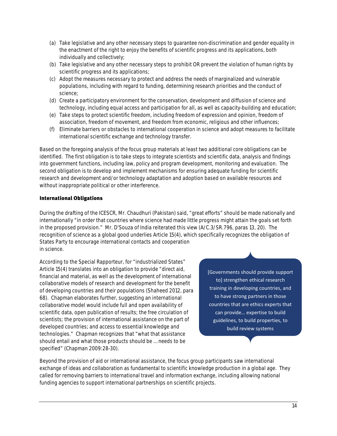- (a) Take legislative and any other necessary steps to guarantee non-discrimination and gender equality in the enactment of the right to enjoy the benefits of scientific progress and its applications, both individually and collectively;
- (b) Take legislative and any other necessary steps to prohibit OR prevent the violation of human rights by scientific progress and its applications;
- (c) Adopt the measures necessary to protect and address the needs of marginalized and vulnerable populations, including with regard to funding, determining research priorities and the conduct of science;
- (d) Create a participatory environment for the conservation, development and diffusion of science and technology, including equal access and participation for all, as well as capacity-building and education;
- (e) Take steps to protect scientific freedom, including freedom of expression and opinion, freedom of association, freedom of movement, and freedom from economic, religious and other influences;
- (f) Eliminate barriers or obstacles to international cooperation in science and adopt measures to facilitate international scientific exchange and technology transfer.

Based on the foregoing analysis of the focus group materials at least two additional core obligations can be identified. The first obligation is to take steps to integrate scientists and scientific data, analysis and findings into government functions, including law, policy and program development, monitoring and evaluation. The second obligation is to develop and implement mechanisms for ensuring adequate funding for scientific research and development and/or technology adaptation and adoption based on available resources and without inappropriate political or other interference.

### <span id="page-16-0"></span>International Obligations

During the drafting of the ICESCR, Mr. Chaudhuri (Pakistan) said, "great efforts" should be made nationally and internationally "in order that countries where science had made little progress might attain the goals set forth in the proposed provision." Mr. D'Souza of India reiterated this view (A/C.3/SR.796, paras 13, 20). The recognition of science as a global good underlies Article 15(4), which specifically recognizes the obligation of States Party to encourage international contacts and cooperation in science.

According to the Special Rapporteur, for "industrialized States" Article 15(4) translates into an obligation to provide "direct aid, financial and material, as well as the development of international collaborative models of research and development for the benefit of developing countries and their populations (Shaheed 2012, para 68). Chapman elaborates further, suggesting an international collaborative model would include full and open availability of scientific data, open publication of results; the free circulation of scientists; the provision of international assistance on the part of developed countries; and access to essential knowledge and technologies." Chapman recognizes that "what that assistance should entail and what those products should be … needs to be specified" (Chapman 2009:28-30).

[Governments should provide support to] strengthen ethical research training in developing countries, and to have strong partners in those countries that are ethics experts that can provide… expertise to build guidelines, to build properties, to build review systems

Beyond the provision of aid or international assistance, the focus group participants saw international exchange of ideas and collaboration as fundamental to scientific knowledge production in a global age. They called for removing barriers to international travel and information exchange, including allowing national funding agencies to support international partnerships on scientific projects.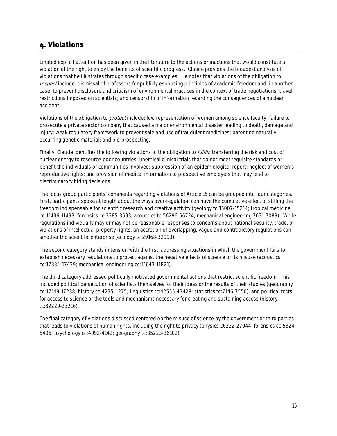# <span id="page-17-0"></span>4. Violations

Limited explicit attention has been given in the literature to the actions or inactions that would constitute a violation of the right to enjoy the benefits of scientific progress. Claude provides the broadest analysis of violations that he illustrates through specific case examples. He notes that violations of the obligation to respect include: dismissal of professors for publicly espousing principles of academic freedom and, in another case, to prevent disclosure and criticism of environmental practices in the context of trade negotiations; travel restrictions imposed on scientists; and censorship of information regarding the consequences of a nuclear accident.

Violations of the obligation to *protect* include: low representation of women among science faculty; failure to prosecute a private sector company that caused a major environmental disaster leading to death, damage and injury; weak regulatory framework to prevent sale and use of fraudulent medicines; patenting naturally occurring genetic material; and bio-prospecting.

Finally, Claude identifies the following violations of the obligation to *fulfill*: transferring the risk and cost of nuclear energy to resource-poor countries; unethical clinical trials that do not meet requisite standards or benefit the individuals or communities involved; suppression of an epidemiological report; neglect of women's reproductive rights; and provision of medical information to prospective employers that may lead to discriminatory hiring decisions.

The focus group participants' comments regarding violations of Article 15 can be grouped into four categories. First, participants spoke at length about the ways over-regulation can have the cumulative effect of stifling the freedom indispensable for scientific research and creative activity (geology tc:15007-15214; tropical medicine cc:11436-11493; forensics cc:3385-3593; acoustics tc:56296-56724; mechanical engineering 7031-7089). While regulations individually may or may not be reasonable responses to concerns about national security, trade, or violations of intellectual property rights, an accretion of overlapping, vague and contradictory regulations can smother the scientific enterprise (ecology tc:29168-32993).

The second category stands in tension with the first, addressing situations in which the government fails to establish necessary regulations to protect against the negative effects of science or its misuse (acoustics cc:17334-17439; mechanical engineering cc:11643-11821).

The third category addressed politically motivated governmental actions that restrict scientific freedom. This included political persecution of scientists themselves for their ideas or the results of their studies (geography cc:17149-17238; history cc:4235-4275; linguistics tc:42555-43428; statistics tc:7146-7550), and political tests for access to science or the tools and mechanisms necessary for creating and sustaining access (history tc:32229-23216).

The final category of violations discussed centered on the misuse of science by the government or third parties that leads to violations of human rights, including the right to privacy (physics 26222-27044; forensics cc:5324- 5406; psychology cc:4092-4142; geography tc:35223-36102).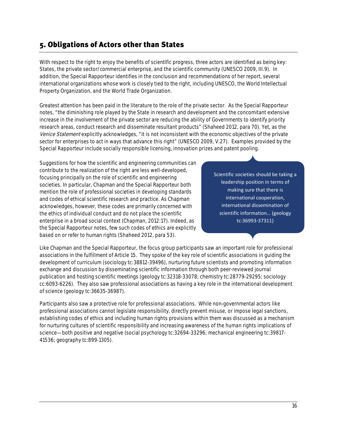# <span id="page-18-0"></span>5. Obligations of Actors other than States

With respect to the right to enjoy the benefits of scientific progress, three actors are identified as being key: States, the private sector/commercial enterprise, and the scientific community (UNESCO 2009, III.9). In addition, the Special Rapporteur identifies in the conclusion and recommendations of her report, several international organizations whose work is closely tied to the right, including UNESCO, the World Intellectual Property Organization, and the World Trade Organization.

Greatest attention has been paid in the literature to the role of the private sector. As the Special Rapporteur notes, "the diminishing role played by the State in research and development and the concomitant extensive increase in the involvement of the private sector are reducing the ability of Governments to identify priority research areas, conduct research and disseminate resultant products" (Shaheed 2012, para 70). Yet, as the Venice Statement explicitly acknowledges, "it is not inconsistent with the economic objectives of the private sector for enterprises to act in ways that advance this right" (UNESCO 2009, V.27). Examples provided by the Special Rapporteur include socially responsible licensing, innovation prizes and patent pooling.

Suggestions for how the scientific and engineering communities can contribute to the realization of the right are less well-developed, focusing principally on the role of scientific and engineering societies. In particular, Chapman and the Special Rapporteur both mention the role of professional societies in developing standards and codes of ethical scientific research and practice. As Chapman acknowledges, however, these codes are primarily concerned with the ethics of individual conduct and do not place the scientific enterprise in a broad social context (Chapman, 2012:17). Indeed, as the Special Rapporteur notes, few such codes of ethics are explicitly based on or refer to human rights (Shaheed 2012, para 53).

Scientific societies should be taking a leadership position in terms of making sure that there is international cooperation, international dissemination of scientific information… (geology tc:36993-37311)

Like Chapman and the Special Rapporteur, the focus group participants saw an important role for professional associations in the fulfillment of Article 15. They spoke of the key role of scientific associations in guiding the development of curriculum (sociology tc:38812-39496), nurturing future scientists and promoting information exchange and discussion by disseminating scientific information through both peer-reviewed journal publication and hosting scientific meetings (geology tc:32318-33078; chemistry tc:28779-29295; sociology cc:6093-6226). They also saw professional associations as having a key role in the international development of science (geology tc:36635-36987).

Participants also saw a protective role for professional associations. While non-governmental actors like professional associations cannot legislate responsibility, directly prevent misuse, or impose legal sanctions, establishing codes of ethics and including human rights provisions within them was discussed as a mechanism for nurturing cultures of scientific responsibility and increasing awareness of the human rights implications of science—both positive and negative (social psychology tc:32694-33296; mechanical engineering tc:39817-41536; geography tc:899-1305).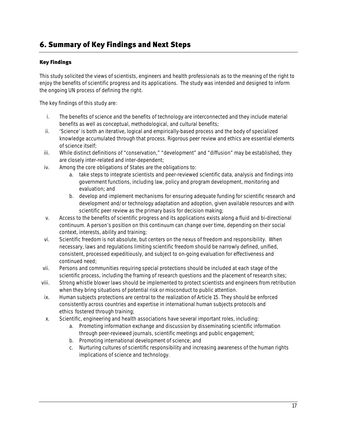# <span id="page-19-0"></span>6. Summary of Key Findings and Next Steps

## Key Findings

This study solicited the views of scientists, engineers and health professionals as to the meaning of the right to enjoy the benefits of scientific progress and its applications. The study was intended and designed to inform the ongoing UN process of defining the right.

The key findings of this study are:

- i. The benefits of science and the benefits of technology are interconnected and they include material benefits as well as conceptual, methodological, and cultural benefits;
- ii. 'Science' is both an iterative, logical and empirically-based process and the body of specialized knowledge accumulated through that process. Rigorous peer review and ethics are essential elements of science itself;
- iii. While distinct definitions of "conservation," "development" and "diffusion" may be established, they are closely inter-related and inter-dependent;
- iv. Among the core obligations of States are the obligations to:
	- a. take steps to integrate scientists and peer-reviewed scientific data, analysis and findings into government functions, including law, policy and program development, monitoring and evaluation; and
	- b. develop and implement mechanisms for ensuring adequate funding for scientific research and development and/or technology adaptation and adoption, given available resources and with scientific peer review as the primary basis for decision making;
- v. Access to the benefits of scientific progress and its applications exists along a fluid and bi-directional continuum. A person's position on this continuum can change over time, depending on their social context, interests, ability and training;
- vi. Scientific freedom is not absolute, but centers on the nexus of freedom and responsibility. When necessary, laws and regulations limiting scientific freedom should be narrowly defined, unified, consistent, processed expeditiously, and subject to on-going evaluation for effectiveness and continued need;
- vii. Persons and communities requiring special protections should be included at each stage of the scientific process, including the framing of research questions and the placement of research sites;
- viii. Strong whistle blower laws should be implemented to protect scientists and engineers from retribution when they bring situations of potential risk or misconduct to public attention.
- ix. Human subjects protections are central to the realization of Article 15. They should be enforced consistently across countries and expertise in international human subjects protocols and ethics fostered through training;
- x. Scientific, engineering and health associations have several important roles, including:
	- a. Promoting information exchange and discussion by disseminating scientific information through peer-reviewed journals, scientific meetings and public engagement;
	- b. Promoting international development of science; and
	- c. Nurturing cultures of scientific responsibility and increasing awareness of the human rights implications of science and technology.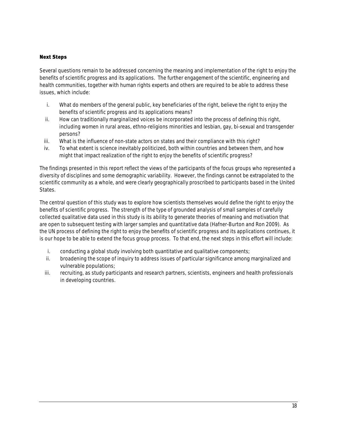### Next Steps

Several questions remain to be addressed concerning the meaning and implementation of the right to enjoy the benefits of scientific progress and its applications. The further engagement of the scientific, engineering and health communities, together with human rights experts and others are required to be able to address these issues, which include:

- i. What do members of the general public, key beneficiaries of the right, believe the right to enjoy the benefits of scientific progress and its applications means?
- ii. How can traditionally marginalized voices be incorporated into the process of defining this right, including women in rural areas, ethno-religions minorities and lesbian, gay, bi-sexual and transgender persons?
- iii. What is the influence of non-state actors on states and their compliance with this right?
- iv. To what extent is science inevitably politicized, both within countries and between them, and how might that impact realization of the right to enjoy the benefits of scientific progress?

The findings presented in this report reflect the views of the participants of the focus groups who represented a diversity of disciplines and some demographic variability. However, the findings cannot be extrapolated to the scientific community as a whole, and were clearly geographically proscribed to participants based in the United States.

The central question of this study was to explore how scientists themselves would define the right to enjoy the benefits of scientific progress. The strength of the type of grounded analysis of small samples of carefully collected qualitative data used in this study is its ability to generate theories of meaning and motivation that are open to subsequent testing with larger samples and quantitative data (Hafner-Burton and Ron 2009). As the UN process of defining the right to enjoy the benefits of scientific progress and its applications continues, it is our hope to be able to extend the focus group process. To that end, the next steps in this effort will include:

- i. conducting a global study involving both quantitative and qualitative components;
- ii. broadening the scope of inquiry to address issues of particular significance among marginalized and vulnerable populations;
- iii. recruiting, as study participants and research partners, scientists, engineers and health professionals in developing countries.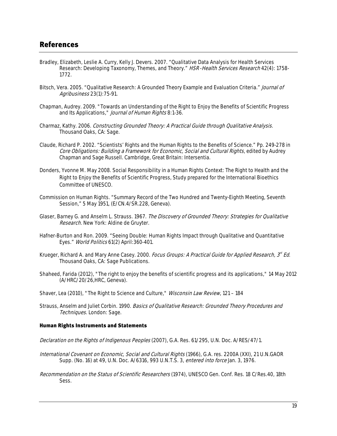- <span id="page-21-0"></span>Bradley, Elizabeth, Leslie A. Curry, Kelly J. Devers. 2007. "Qualitative Data Analysis for Health Services Research: Developing Taxonomy, Themes, and Theory." HSR-Health Services Research 42(4): 1758-1772.
- Bitsch, Vera. 2005. "Qualitative Research: A Grounded Theory Example and Evaluation Criteria." Journal of Agribusiness 23(1):75-91.
- Chapman, Audrey. 2009. "Towards an Understanding of the Right to Enjoy the Benefits of Scientific Progress and Its Applications," Journal of Human Rights 8:1-36.
- Charmaz, Kathy. 2006. Constructing Grounded Theory: A Practical Guide through Qualitative Analysis. Thousand Oaks, CA: Sage.
- Claude, Richard P. 2002. "Scientists' Rights and the Human Rights to the Benefits of Science." Pp. 249-278 in Core Obligations: Building a Framework for Economic, Social and Cultural Rights, edited by Audrey Chapman and Sage Russell. Cambridge, Great Britain: Intersentia.
- Donders, Yvonne M. May 2008. Social Responsibility in a Human Rights Context: The Right to Health and the Right to Enjoy the Benefits of Scientific Progress, Study prepared for the International Bioethics Committee of UNESCO.
- Commission on Human Rights. "Summary Record of the Two Hundred and Twenty-Eighth Meeting, Seventh Session," 5 May 1951, (E/CN.4/SR.228, Geneva).
- Glaser, Barney G. and Anselm L. Strauss. 1967. The Discovery of Grounded Theory: Strategies for Qualitative Research. New York: Aldine de Gruyter.
- Hafner-Burton and Ron. 2009. "Seeing Double: Human Rights Impact through Qualitative and Quantitative Eyes." World Politics 61(2) April:360-401.
- Krueger, Richard A. and Mary Anne Casey. 2000. *Focus Groups: A Practical Guide for Applied Research, 3<sup>d</sup> Ed.* Thousand Oaks, CA: Sage Publications.
- Shaheed, Farida (2012), "The right to enjoy the benefits of scientific progress and its applications," 14 May 2012 (A/HRC/20/26,HRC, Geneva).

Shaver, Lea (2010), "The Right to Science and Culture," Wisconsin Law Review, 121 - 184

Strauss, Anselm and Juliet Corbin. 1990. Basics of Qualitative Research: Grounded Theory Procedures and Techniques. London: Sage.

#### Human Rights Instruments and Statements

- Declaration on the Rights of Indigenous Peoples (2007), G.A. Res. 61/295, U.N. Doc. A/RES/47/1.
- International Covenant on Economic, Social and Cultural Rights (1966), G.A. res. 2200A (XXI), 21 U.N.GAOR Supp. (No. 16) at 49, U.N. Doc. A/6316, 993 U.N.T.S. 3, entered into force Jan. 3, 1976.
- Recommendation on the Status of Scientific Researchers (1974), UNESCO Gen. Conf. Res. 18 C/Res.40, 18th Sess.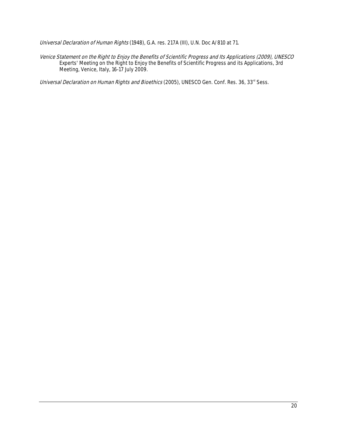Universal Declaration of Human Rights (1948), G.A. res. 217A (III), U.N. Doc A/810 at 71.

Venice Statement on the Right to Enjoy the Benefits of Scientific Progress and Its Applications (2009), UNESCO Experts' Meeting on the Right to Enjoy the Benefits of Scientific Progress and its Applications, 3rd Meeting, Venice, Italy, 16-17 July 2009.

Universal Declaration on Human Rights and Bioethics (2005), UNESCO Gen. Conf. Res. 36, 33<sup>rd</sup> Sess.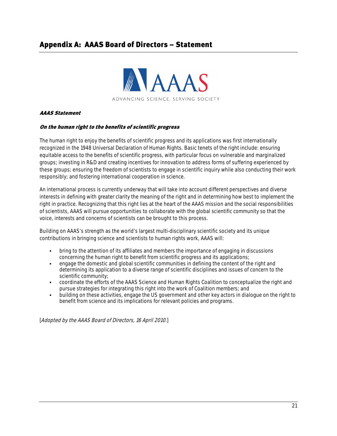# <span id="page-23-0"></span>Appendix A: AAAS Board of Directors – Statement



### AAAS Statement

#### On the human right to the benefits of scientific progress

The human right to enjoy the benefits of scientific progress and its applications was first internationally recognized in the 1948 Universal Declaration of Human Rights. Basic tenets of the right include: ensuring equitable access to the benefits of scientific progress, with particular focus on vulnerable and marginalized groups; investing in R&D and creating incentives for innovation to address forms of suffering experienced by these groups; ensuring the freedom of scientists to engage in scientific inquiry while also conducting their work responsibly; and fostering international cooperation in science.

An international process is currently underway that will take into account different perspectives and diverse interests in defining with greater clarity the meaning of the right and in determining how best to implement the right in practice. Recognizing that this right lies at the heart of the AAAS mission and the social responsibilities of scientists, AAAS will pursue opportunities to collaborate with the global scientific community so that the voice, interests and concerns of scientists can be brought to this process.

Building on AAAS's strength as the world's largest multi-disciplinary scientific society and its unique contributions in bringing science and scientists to human rights work, AAAS will:

- bring to the attention of its affiliates and members the importance of engaging in discussions concerning the human right to benefit from scientific progress and its applications;
- engage the domestic and global scientific communities in defining the content of the right and determining its application to a diverse range of scientific disciplines and issues of concern to the scientific community;
- coordinate the efforts of the AAAS Science and Human Rights Coalition to conceptualize the right and pursue strategies for integrating this right into the work of Coalition members; and
- building on these activities, engage the US government and other key actors in dialogue on the right to benefit from science and its implications for relevant policies and programs.

[Adopted by the AAAS Board of Directors, 16 April 2010.]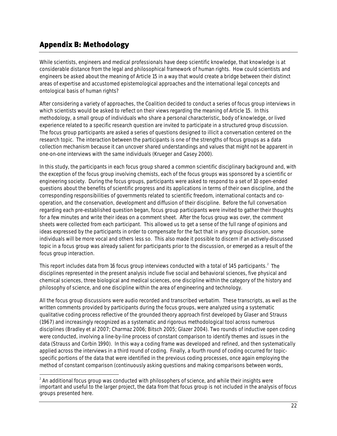# <span id="page-24-0"></span>Appendix B: Methodology

 $\overline{\phantom{a}}$ 

While scientists, engineers and medical professionals have deep scientific knowledge, that knowledge is at considerable distance from the legal and philosophical framework of human rights. How could scientists and engineers be asked about the meaning of Article 15 in a way that would create a bridge between their distinct areas of expertise and accustomed epistemological approaches and the international legal concepts and ontological basis of human rights?

After considering a variety of approaches, the Coalition decided to conduct a series of focus group interviews in which scientists would be asked to reflect on their views regarding the meaning of Article 15. In this methodology, a small group of individuals who share a personal characteristic, body of knowledge, or lived experience related to a specific research question are invited to participate in a structured group discussion. The focus group participants are asked a series of questions designed to illicit a conversation centered on the research topic. The interaction between the participants is one of the strengths of focus groups as a data collection mechanism because it can uncover shared understandings and values that might not be apparent in one-on-one interviews with the same individuals (Krueger and Casey 2000).

In this study, the participants in each focus group shared a common scientific disciplinary background and, with the exception of the focus group involving chemists, each of the focus groups was sponsored by a scientific or engineering society. During the focus groups, participants were asked to respond to a set of 10 open-ended questions about the benefits of scientific progress and its applications in terms of their own discipline, and the corresponding responsibilities of governments related to scientific freedom, international contacts and cooperation, and the conservation, development and diffusion of their discipline. Before the full conversation regarding each pre-established question began, focus group participants were invited to gather their thoughts for a few minutes and write their ideas on a comment sheet. After the focus group was over, the comment sheets were collected from each participant. This allowed us to get a sense of the full range of opinions and ideas expressed by the participants in order to compensate for the fact that in any group discussion, some individuals will be more vocal and others less so. This also made it possible to discern if an actively-discussed topic in a focus group was already salient for participants prior to the discussion, or emerged as a result of the focus group interaction.

This report includes data from 16 focus group interviews conducted with a total of 145 participants.<sup>[2](#page-24-1)</sup> The disciplines represented in the present analysis include five social and behavioral sciences, five physical and chemical sciences, three biological and medical sciences, one discipline within the category of the history and philosophy of science, and one discipline within the area of engineering and technology.

All the focus group discussions were audio recorded and transcribed verbatim. These transcripts, as well as the written comments provided by participants during the focus groups, were analyzed using a systematic qualitative coding process reflective of the grounded theory approach first developed by Glaser and Strauss (1967) and increasingly recognized as a systematic and rigorous methodological tool across numerous disciplines (Bradley et al 2007; Charmaz 2006; Bitsch 2005; Glazer 2004). Two rounds of inductive open coding were conducted, involving a line-by-line process of constant comparison to identify themes and issues in the data (Strauss and Corbin 1990). In this way a coding frame was developed and refined, and then systematically applied across the interviews in a third round of coding. Finally, a fourth round of coding occurred for topicspecific portions of the data that were identified in the previous coding processes, once again employing the method of constant comparison (continuously asking questions and making comparisons between words,

<span id="page-24-1"></span> $^{\circ}$  An additional focus group was conducted with philosophers of science, and while their insights were important and useful to the larger project, the data from that focus group is not included in the analysis of focus groups presented here.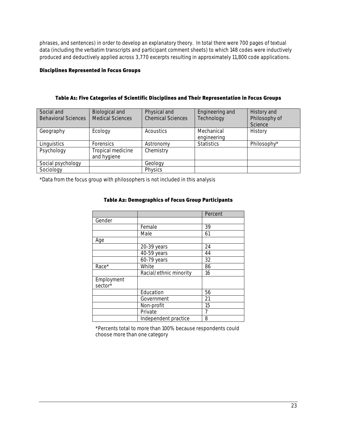phrases, and sentences) in order to develop an explanatory theory. In total there were 700 pages of textual data (including the verbatim transcripts and participant comment sheets) to which 148 codes were inductively produced and deductively applied across 3,770 excerpts resulting in approximately 11,800 code applications.

#### Disciplines Represented in Focus Groups

| Social and<br><b>Behavioral Sciences</b> | <b>Biological and</b><br><b>Medical Sciences</b> | Physical and<br><b>Chemical Sciences</b> | Engineering and<br>Technology | History and<br>Philosophy of<br>Science |
|------------------------------------------|--------------------------------------------------|------------------------------------------|-------------------------------|-----------------------------------------|
| Geography                                | Ecology                                          | Acoustics                                | Mechanical<br>engineering     | History                                 |
| Linguistics                              | Forensics                                        | Astronomy                                | <b>Statistics</b>             | Philosophy*                             |
| Psychology                               | Tropical medicine<br>and hygiene                 | Chemistry                                |                               |                                         |
| Social psychology                        |                                                  | Geology                                  |                               |                                         |
| Sociology                                |                                                  | Physics                                  |                               |                                         |

#### Table A1: Five Categories of Scientific Disciplines and Their Representation in Focus Groups

\*Data from the focus group with philosophers is not included in this analysis

|            |                        | Percent |
|------------|------------------------|---------|
| Gender     |                        |         |
|            | Female                 | 39      |
|            | Male                   | 61      |
| Age        |                        |         |
|            | 20-39 years            | 24      |
|            | 40-59 years            | 44      |
|            | 60-79 years            | 32      |
| Race*      | White                  | 86      |
|            | Racial/ethnic minority | 16      |
| Employment |                        |         |
| sector*    |                        |         |
|            | Education              | 56      |
|            | Government             | 21      |
|            | Non-profit             | 15      |
|            | Private                | 7       |
|            | Independent practice   | 8       |

### Table A2: Demographics of Focus Group Participants

\*Percents total to more than 100% because respondents could choose more than one category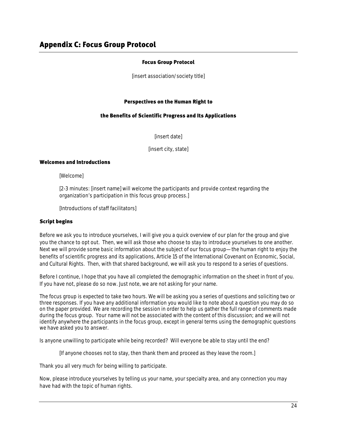### Focus Group Protocol

[insert association/society title]

### Perspectives on the Human Right to

### <span id="page-26-0"></span>the Benefits of Scientific Progress and Its Applications

[insert date]

[insert city, state]

### Welcomes and Introductions

[Welcome]

[2-3 minutes: [insert name] will welcome the participants and provide context regarding the organization's participation in this focus group process.]

[Introductions of staff facilitators]

### Script begins

Before we ask you to introduce yourselves, I will give you a quick overview of our plan for the group and give you the chance to opt out. Then, we will ask those who choose to stay to introduce yourselves to one another. Next we will provide some basic information about the subject of our focus group—the human right to enjoy the benefits of scientific progress and its applications, Article 15 of the International Covenant on Economic, Social, and Cultural Rights. Then, with that shared background, we will ask you to respond to a series of questions.

Before I continue, I hope that you have all completed the demographic information on the sheet in front of you. If you have not, please do so now. Just note, we are not asking for your name.

The focus group is expected to take two hours. We will be asking you a series of questions and soliciting two or three responses. If you have any additional information you would like to note about a question you may do so on the paper provided. We are recording the session in order to help us gather the full range of comments made during the focus group. Your name will not be associated with the content of this discussion; and we will not identify anywhere the participants in the focus group, except in general terms using the demographic questions we have asked you to answer.

Is anyone unwilling to participate while being recorded? Will everyone be able to stay until the end?

[If anyone chooses not to stay, then thank them and proceed as they leave the room.]

Thank you all very much for being willing to participate.

Now, please introduce yourselves by telling us your name, your specialty area, and any connection you may have had with the topic of human rights.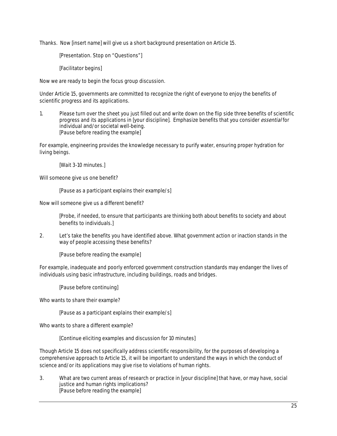Thanks. Now [insert name] will give us a short background presentation on Article 15.

[Presentation. Stop on "Questions"]

[Facilitator begins]

Now we are ready to begin the focus group discussion.

Under Article 15, governments are committed to recognize the right of everyone to enjoy the benefits of scientific progress and its applications.

1. Please turn over the sheet you just filled out and write down on the flip side three benefits of scientific progress and its applications in [your discipline]. Emphasize benefits that you consider *essential* for individual and/or societal well-being. [Pause before reading the example]

For example, engineering provides the knowledge necessary to purify water, ensuring proper hydration for living beings.

[Wait 3-10 minutes.]

Will someone give us one benefit?

[Pause as a participant explains their example/s]

Now will someone give us a different benefit?

[Probe, if needed, to ensure that participants are thinking both about benefits to society and about benefits to individuals.]

2. Let's take the benefits you have identified above. What government action or inaction stands in the way of people accessing these benefits?

[Pause before reading the example]

For example, inadequate and poorly enforced government construction standards may endanger the lives of individuals using basic infrastructure, including buildings, roads and bridges.

[Pause before continuing]

Who wants to share their example?

[Pause as a participant explains their example/s]

Who wants to share a different example?

[Continue eliciting examples and discussion for 10 minutes]

Though Article 15 does not specifically address scientific responsibility, for the purposes of developing a comprehensive approach to Article 15, it will be important to understand the ways in which the conduct of science and/or its applications may give rise to violations of human rights.

3. What are two current areas of research or practice in [your discipline] that have, or may have, social justice and human rights implications? [Pause before reading the example]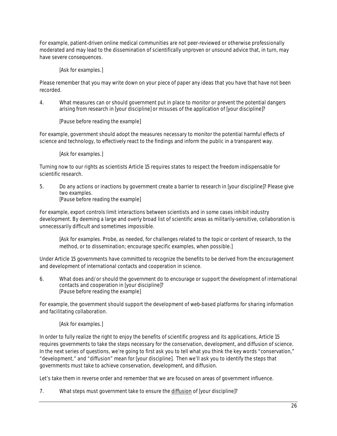For example, patient-driven online medical communities are not peer-reviewed or otherwise professionally moderated and may lead to the dissemination of scientifically unproven or unsound advice that, in turn, may have severe consequences.

[Ask for examples.]

Please remember that you may write down on your piece of paper any ideas that you have that have not been recorded.

4. What measures can or should government put in place to monitor or prevent the potential dangers arising from research in [your discipline] or misuses of the application of [your discipline]?

[Pause before reading the example]

For example, government should adopt the measures necessary to monitor the potential harmful effects of science and technology, to effectively react to the findings and inform the public in a transparent way.

[Ask for examples.]

Turning now to our rights as scientists Article 15 requires states to respect the freedom indispensable for scientific research.

5. Do any actions or inactions by government create a barrier to research in [your discipline]? Please give two examples. [Pause before reading the example]

For example, export controls limit interactions between scientists and in some cases inhibit industry development. By deeming a large and overly broad list of scientific areas as militarily-sensitive, collaboration is unnecessarily difficult and sometimes impossible.

[Ask for examples. Probe, as needed, for challenges related to the topic or content of research, to the method, or to dissemination; encourage specific examples, when possible.]

Under Article 15 governments have committed to recognize the benefits to be derived from the encouragement and development of international contacts and cooperation in science.

6. What does and/or should the government do to encourage or support the development of international contacts and cooperation in [your discipline]? [Pause before reading the example]

For example, the government should support the development of web-based platforms for sharing information and facilitating collaboration.

### [Ask for examples.]

In order to fully realize the right to enjoy the benefits of scientific progress and its applications, Article 15 requires governments to take the steps necessary for the conservation, development, and diffusion of science. In the next series of questions, we're going to first ask you to tell what you think the key words "conservation," "development," and "diffusion" mean for [your discipline]. Then we'll ask you to identify the steps that governments must take to achieve conservation, development, and diffusion.

Let's take them in reverse order and remember that we are focused on areas of government influence.

7. What steps must government take to ensure the diffusion of [your discipline]?